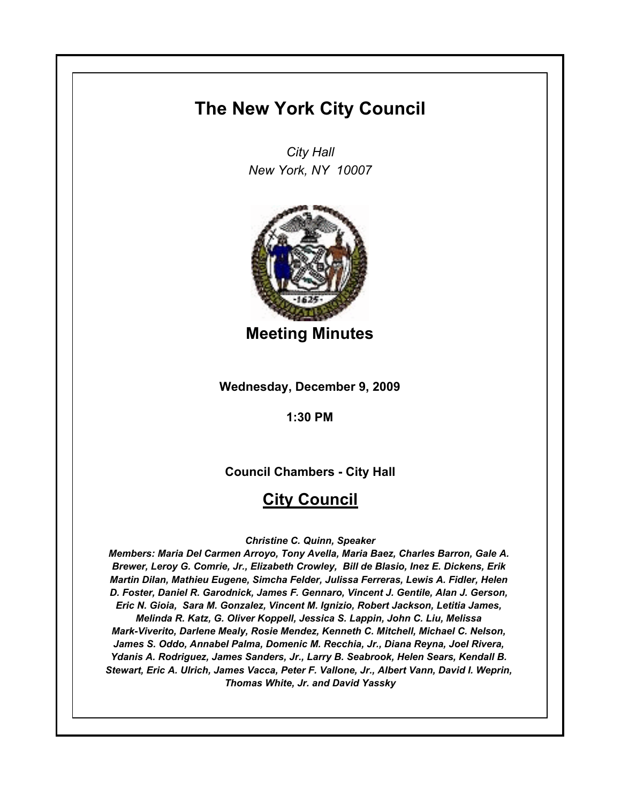# **The New York City Council**

*City Hall New York, NY 10007*



**Meeting Minutes**

**Wednesday, December 9, 2009**

**1:30 PM**

**Council Chambers - City Hall**

# **City Council**

*Christine C. Quinn, Speaker*

*Members: Maria Del Carmen Arroyo, Tony Avella, Maria Baez, Charles Barron, Gale A. Brewer, Leroy G. Comrie, Jr., Elizabeth Crowley, Bill de Blasio, Inez E. Dickens, Erik Martin Dilan, Mathieu Eugene, Simcha Felder, Julissa Ferreras, Lewis A. Fidler, Helen D. Foster, Daniel R. Garodnick, James F. Gennaro, Vincent J. Gentile, Alan J. Gerson, Eric N. Gioia, Sara M. Gonzalez, Vincent M. Ignizio, Robert Jackson, Letitia James, Melinda R. Katz, G. Oliver Koppell, Jessica S. Lappin, John C. Liu, Melissa Mark-Viverito, Darlene Mealy, Rosie Mendez, Kenneth C. Mitchell, Michael C. Nelson, James S. Oddo, Annabel Palma, Domenic M. Recchia, Jr., Diana Reyna, Joel Rivera, Ydanis A. Rodriguez, James Sanders, Jr., Larry B. Seabrook, Helen Sears, Kendall B. Stewart, Eric A. Ulrich, James Vacca, Peter F. Vallone, Jr., Albert Vann, David I. Weprin, Thomas White, Jr. and David Yassky*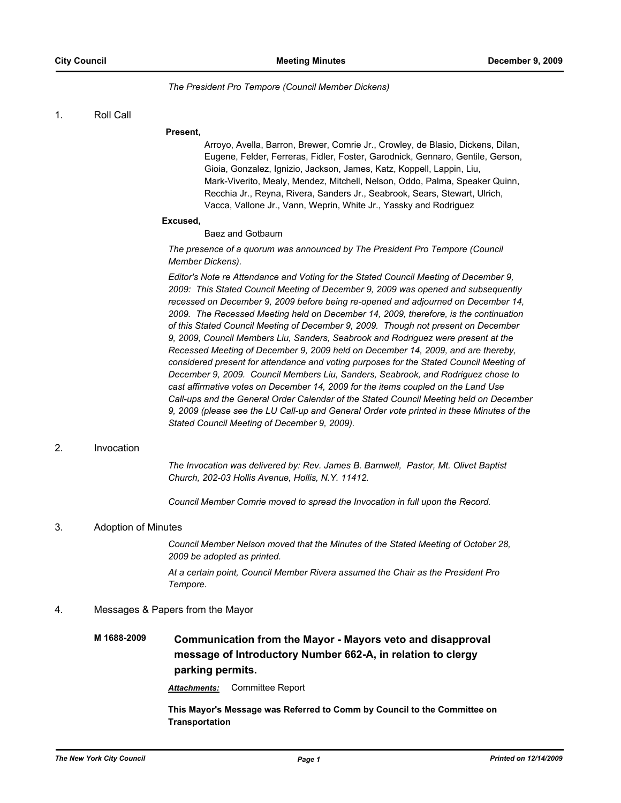### *The President Pro Tempore (Council Member Dickens)*

### 1. Roll Call

### **Present,**

Arroyo, Avella, Barron, Brewer, Comrie Jr., Crowley, de Blasio, Dickens, Dilan, Eugene, Felder, Ferreras, Fidler, Foster, Garodnick, Gennaro, Gentile, Gerson, Gioia, Gonzalez, Ignizio, Jackson, James, Katz, Koppell, Lappin, Liu, Mark-Viverito, Mealy, Mendez, Mitchell, Nelson, Oddo, Palma, Speaker Quinn, Recchia Jr., Reyna, Rivera, Sanders Jr., Seabrook, Sears, Stewart, Ulrich, Vacca, Vallone Jr., Vann, Weprin, White Jr., Yassky and Rodriguez

### **Excused,**

Baez and Gotbaum

*The presence of a quorum was announced by The President Pro Tempore (Council Member Dickens).*

*Editor's Note re Attendance and Voting for the Stated Council Meeting of December 9, 2009: This Stated Council Meeting of December 9, 2009 was opened and subsequently recessed on December 9, 2009 before being re-opened and adjourned on December 14, 2009. The Recessed Meeting held on December 14, 2009, therefore, is the continuation of this Stated Council Meeting of December 9, 2009. Though not present on December 9, 2009, Council Members Liu, Sanders, Seabrook and Rodriguez were present at the Recessed Meeting of December 9, 2009 held on December 14, 2009, and are thereby, considered present for attendance and voting purposes for the Stated Council Meeting of December 9, 2009. Council Members Liu, Sanders, Seabrook, and Rodriguez chose to cast affirmative votes on December 14, 2009 for the items coupled on the Land Use Call-ups and the General Order Calendar of the Stated Council Meeting held on December 9, 2009 (please see the LU Call-up and General Order vote printed in these Minutes of the Stated Council Meeting of December 9, 2009).*

### 2. Invocation

*The Invocation was delivered by: Rev. James B. Barnwell, Pastor, Mt. Olivet Baptist Church, 202-03 Hollis Avenue, Hollis, N.Y. 11412.*

*Council Member Comrie moved to spread the Invocation in full upon the Record.*

### 3. Adoption of Minutes

*Council Member Nelson moved that the Minutes of the Stated Meeting of October 28, 2009 be adopted as printed.*

*At a certain point, Council Member Rivera assumed the Chair as the President Pro Tempore.*

### 4. Messages & Papers from the Mayor

# **M 1688-2009 Communication from the Mayor - Mayors veto and disapproval message of Introductory Number 662-A, in relation to clergy parking permits.**

*Attachments:* Committee Report

**This Mayor's Message was Referred to Comm by Council to the Committee on Transportation**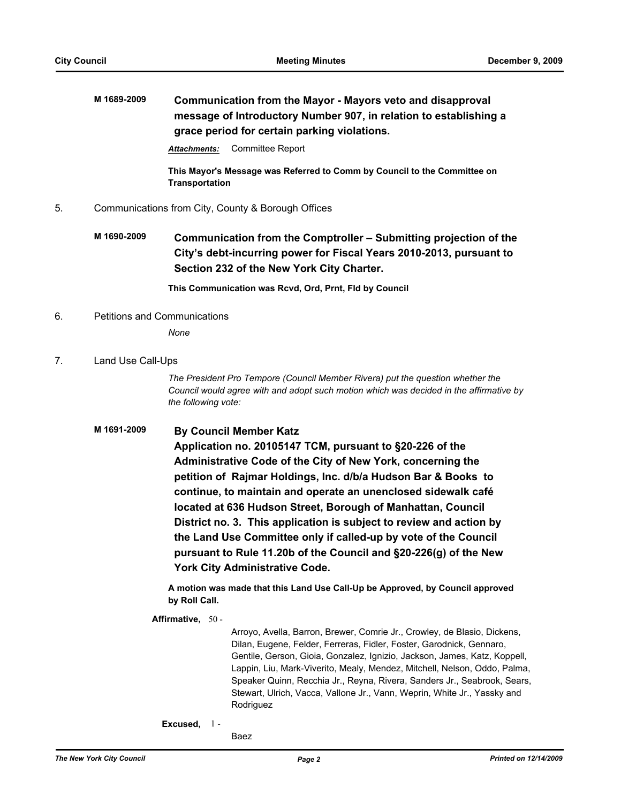# **M 1689-2009 Communication from the Mayor - Mayors veto and disapproval message of Introductory Number 907, in relation to establishing a grace period for certain parking violations.**

*Attachments:* Committee Report

**This Mayor's Message was Referred to Comm by Council to the Committee on Transportation**

- 5. Communications from City, County & Borough Offices
	- **M 1690-2009 Communication from the Comptroller Submitting projection of the City's debt-incurring power for Fiscal Years 2010-2013, pursuant to Section 232 of the New York City Charter.**

**This Communication was Rcvd, Ord, Prnt, Fld by Council**

6. Petitions and Communications

*None*

7. Land Use Call-Ups

*The President Pro Tempore (Council Member Rivera) put the question whether the Council would agree with and adopt such motion which was decided in the affirmative by the following vote:*

## **M 1691-2009 By Council Member Katz**

**Application no. 20105147 TCM, pursuant to §20-226 of the Administrative Code of the City of New York, concerning the petition of Rajmar Holdings, Inc. d/b/a Hudson Bar & Books to continue, to maintain and operate an unenclosed sidewalk café located at 636 Hudson Street, Borough of Manhattan, Council District no. 3. This application is subject to review and action by the Land Use Committee only if called-up by vote of the Council pursuant to Rule 11.20b of the Council and §20-226(g) of the New York City Administrative Code.**

**A motion was made that this Land Use Call-Up be Approved, by Council approved by Roll Call.**

### **Affirmative,** 50 -

Arroyo, Avella, Barron, Brewer, Comrie Jr., Crowley, de Blasio, Dickens, Dilan, Eugene, Felder, Ferreras, Fidler, Foster, Garodnick, Gennaro, Gentile, Gerson, Gioia, Gonzalez, Ignizio, Jackson, James, Katz, Koppell, Lappin, Liu, Mark-Viverito, Mealy, Mendez, Mitchell, Nelson, Oddo, Palma, Speaker Quinn, Recchia Jr., Reyna, Rivera, Sanders Jr., Seabrook, Sears, Stewart, Ulrich, Vacca, Vallone Jr., Vann, Weprin, White Jr., Yassky and Rodriguez

**Excused,** 1 -

Baez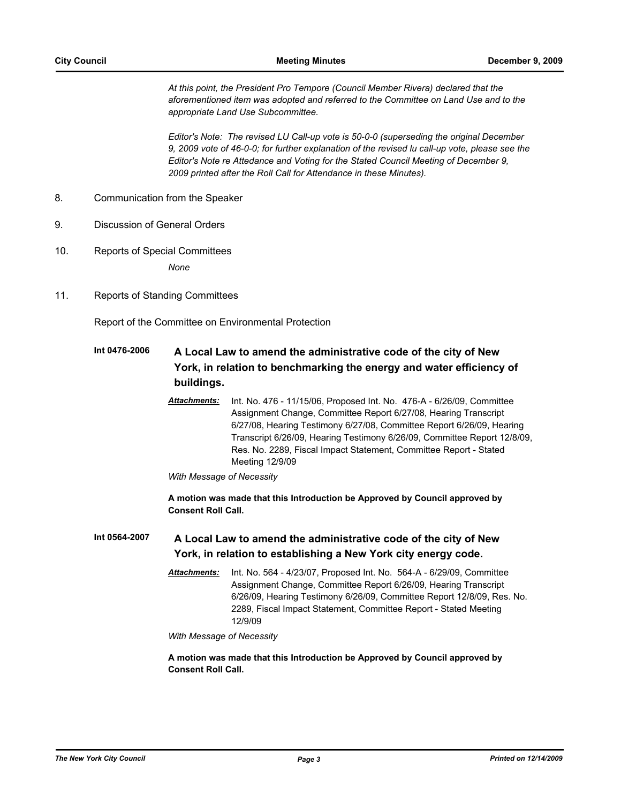*At this point, the President Pro Tempore (Council Member Rivera) declared that the aforementioned item was adopted and referred to the Committee on Land Use and to the appropriate Land Use Subcommittee.*

*Editor's Note: The revised LU Call-up vote is 50-0-0 (superseding the original December 9, 2009 vote of 46-0-0; for further explanation of the revised lu call-up vote, please see the Editor's Note re Attedance and Voting for the Stated Council Meeting of December 9, 2009 printed after the Roll Call for Attendance in these Minutes).*

- 8. Communication from the Speaker
- 9. Discussion of General Orders
- 10. Reports of Special Committees *None*
- 11. Reports of Standing Committees

Report of the Committee on Environmental Protection

## **Int 0476-2006 A Local Law to amend the administrative code of the city of New York, in relation to benchmarking the energy and water efficiency of buildings.**

*Attachments:* Int. No. 476 - 11/15/06, Proposed Int. No. 476-A - 6/26/09, Committee Assignment Change, Committee Report 6/27/08, Hearing Transcript 6/27/08, Hearing Testimony 6/27/08, Committee Report 6/26/09, Hearing Transcript 6/26/09, Hearing Testimony 6/26/09, Committee Report 12/8/09, Res. No. 2289, Fiscal Impact Statement, Committee Report - Stated Meeting 12/9/09

*With Message of Necessity*

**A motion was made that this Introduction be Approved by Council approved by Consent Roll Call.**

### **Int 0564-2007 A Local Law to amend the administrative code of the city of New York, in relation to establishing a New York city energy code.**

*Attachments:* Int. No. 564 - 4/23/07, Proposed Int. No. 564-A - 6/29/09, Committee Assignment Change, Committee Report 6/26/09, Hearing Transcript 6/26/09, Hearing Testimony 6/26/09, Committee Report 12/8/09, Res. No. 2289, Fiscal Impact Statement, Committee Report - Stated Meeting 12/9/09

*With Message of Necessity*

**A motion was made that this Introduction be Approved by Council approved by Consent Roll Call.**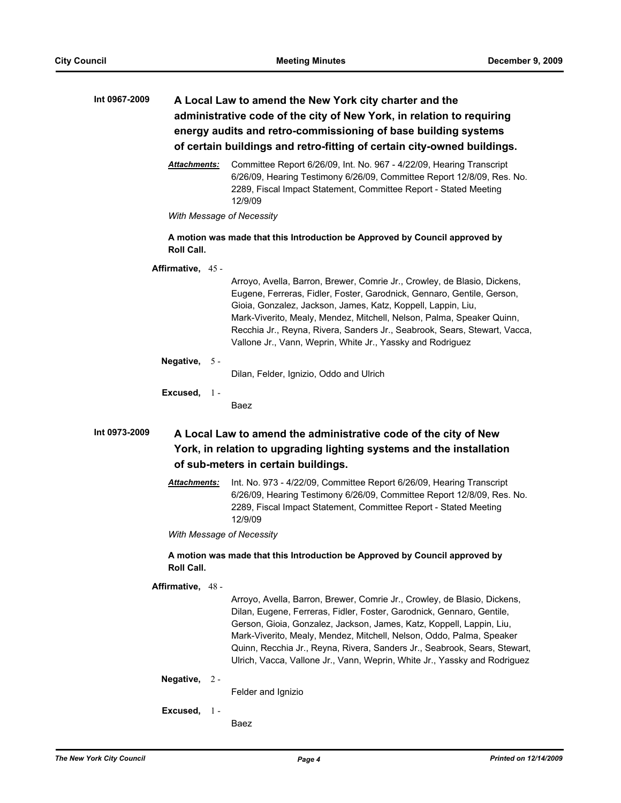| Int 0967-2009        | A Local Law to amend the New York city charter and the<br>administrative code of the city of New York, in relation to requiring<br>energy audits and retro-commissioning of base building systems<br>of certain buildings and retro-fitting of certain city-owned buildings.                                                                                                                                                           |
|----------------------|----------------------------------------------------------------------------------------------------------------------------------------------------------------------------------------------------------------------------------------------------------------------------------------------------------------------------------------------------------------------------------------------------------------------------------------|
| <u> Attachments:</u> | Committee Report 6/26/09, Int. No. 967 - 4/22/09, Hearing Transcript<br>6/26/09, Hearing Testimony 6/26/09, Committee Report 12/8/09, Res. No.<br>2289, Fiscal Impact Statement, Committee Report - Stated Meeting<br>12/9/09                                                                                                                                                                                                          |
|                      | With Message of Necessity                                                                                                                                                                                                                                                                                                                                                                                                              |
| Roll Call.           | A motion was made that this Introduction be Approved by Council approved by                                                                                                                                                                                                                                                                                                                                                            |
| Affirmative, 45 -    | Arroyo, Avella, Barron, Brewer, Comrie Jr., Crowley, de Blasio, Dickens,<br>Eugene, Ferreras, Fidler, Foster, Garodnick, Gennaro, Gentile, Gerson,<br>Gioia, Gonzalez, Jackson, James, Katz, Koppell, Lappin, Liu,<br>Mark-Viverito, Mealy, Mendez, Mitchell, Nelson, Palma, Speaker Quinn,<br>Recchia Jr., Reyna, Rivera, Sanders Jr., Seabrook, Sears, Stewart, Vacca,<br>Vallone Jr., Vann, Weprin, White Jr., Yassky and Rodriguez |
| Negative, $5 -$      | Dilan, Felder, Ignizio, Oddo and Ulrich                                                                                                                                                                                                                                                                                                                                                                                                |
| Excused, $1 -$       | Baez                                                                                                                                                                                                                                                                                                                                                                                                                                   |
| Int 0973-2009        | A Local Law to amend the administrative code of the city of New<br>York, in relation to upgrading lighting systems and the installation<br>of sub-meters in certain buildings.                                                                                                                                                                                                                                                         |
| Attachments:         | Int. No. 973 - 4/22/09, Committee Report 6/26/09, Hearing Transcript<br>6/26/09, Hearing Testimony 6/26/09, Committee Report 12/8/09, Res. No.<br>2289, Fiscal Impact Statement, Committee Report - Stated Meeting<br>12/9/09                                                                                                                                                                                                          |
|                      | With Message of Necessity                                                                                                                                                                                                                                                                                                                                                                                                              |
| <b>Roll Call.</b>    | A motion was made that this Introduction be Approved by Council approved by                                                                                                                                                                                                                                                                                                                                                            |
| Affirmative, 48 -    | Arroyo, Avella, Barron, Brewer, Comrie Jr., Crowley, de Blasio, Dickens,<br>Dilan, Eugene, Ferreras, Fidler, Foster, Garodnick, Gennaro, Gentile,<br>Gerson, Gioia, Gonzalez, Jackson, James, Katz, Koppell, Lappin, Liu,                                                                                                                                                                                                              |

Mark-Viverito, Mealy, Mendez, Mitchell, Nelson, Oddo, Palma, Speaker Quinn, Recchia Jr., Reyna, Rivera, Sanders Jr., Seabrook, Sears, Stewart, Ulrich, Vacca, Vallone Jr., Vann, Weprin, White Jr., Yassky and Rodriguez

### **Negative,** 2 -

Felder and Ignizio

### **Excused,** 1 -

Baez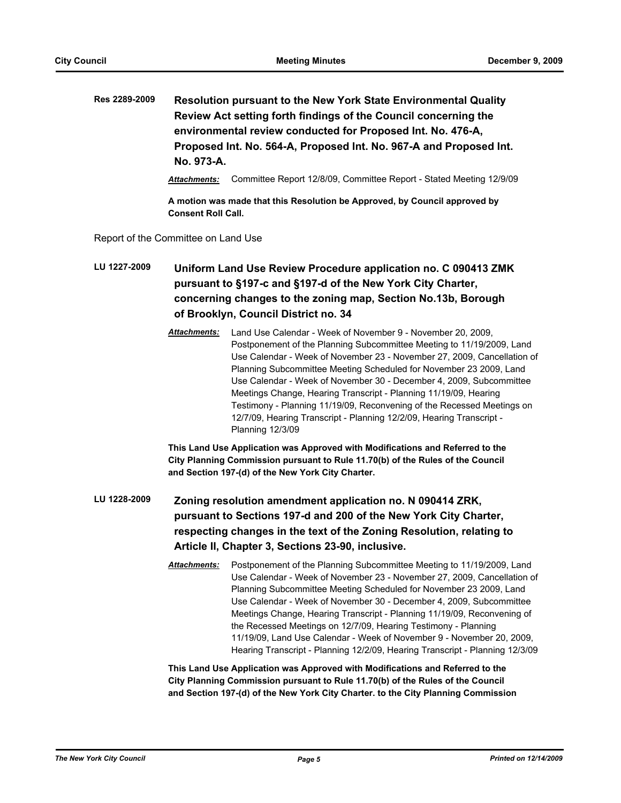**Res 2289-2009 Resolution pursuant to the New York State Environmental Quality Review Act setting forth findings of the Council concerning the environmental review conducted for Proposed Int. No. 476-A, Proposed Int. No. 564-A, Proposed Int. No. 967-A and Proposed Int. No. 973-A.**

*Attachments:* Committee Report 12/8/09, Committee Report - Stated Meeting 12/9/09

**A motion was made that this Resolution be Approved, by Council approved by Consent Roll Call.**

Report of the Committee on Land Use

**LU 1227-2009 Uniform Land Use Review Procedure application no. C 090413 ZMK pursuant to §197-c and §197-d of the New York City Charter, concerning changes to the zoning map, Section No.13b, Borough of Brooklyn, Council District no. 34**

> *Attachments:* Land Use Calendar - Week of November 9 - November 20, 2009, Postponement of the Planning Subcommittee Meeting to 11/19/2009, Land Use Calendar - Week of November 23 - November 27, 2009, Cancellation of Planning Subcommittee Meeting Scheduled for November 23 2009, Land Use Calendar - Week of November 30 - December 4, 2009, Subcommittee Meetings Change, Hearing Transcript - Planning 11/19/09, Hearing Testimony - Planning 11/19/09, Reconvening of the Recessed Meetings on 12/7/09, Hearing Transcript - Planning 12/2/09, Hearing Transcript - Planning 12/3/09

**This Land Use Application was Approved with Modifications and Referred to the City Planning Commission pursuant to Rule 11.70(b) of the Rules of the Council and Section 197-(d) of the New York City Charter.**

- **LU 1228-2009 Zoning resolution amendment application no. N 090414 ZRK, pursuant to Sections 197-d and 200 of the New York City Charter, respecting changes in the text of the Zoning Resolution, relating to Article II, Chapter 3, Sections 23-90, inclusive.**
	- *Attachments:* Postponement of the Planning Subcommittee Meeting to 11/19/2009, Land Use Calendar - Week of November 23 - November 27, 2009, Cancellation of Planning Subcommittee Meeting Scheduled for November 23 2009, Land Use Calendar - Week of November 30 - December 4, 2009, Subcommittee Meetings Change, Hearing Transcript - Planning 11/19/09, Reconvening of the Recessed Meetings on 12/7/09, Hearing Testimony - Planning 11/19/09, Land Use Calendar - Week of November 9 - November 20, 2009, Hearing Transcript - Planning 12/2/09, Hearing Transcript - Planning 12/3/09

**This Land Use Application was Approved with Modifications and Referred to the City Planning Commission pursuant to Rule 11.70(b) of the Rules of the Council and Section 197-(d) of the New York City Charter. to the City Planning Commission**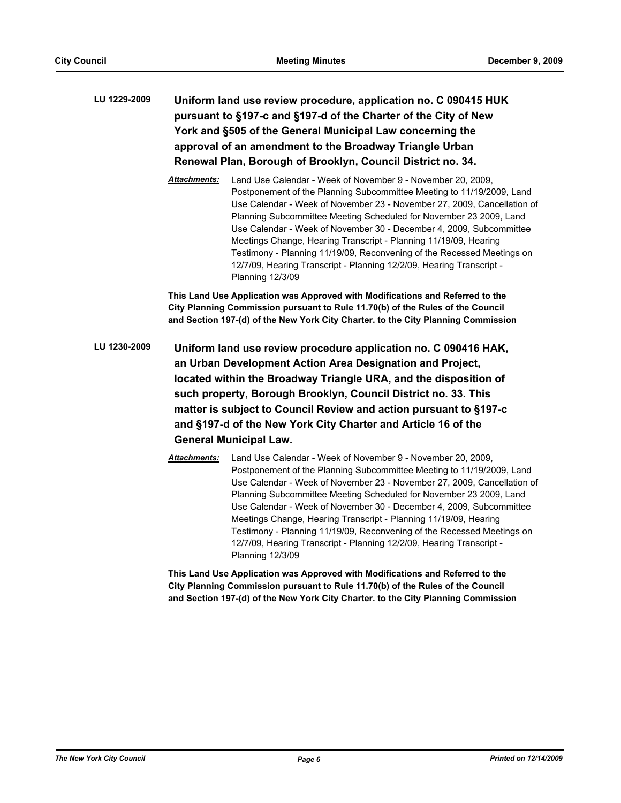# **LU 1229-2009 Uniform land use review procedure, application no. C 090415 HUK pursuant to §197-c and §197-d of the Charter of the City of New York and §505 of the General Municipal Law concerning the approval of an amendment to the Broadway Triangle Urban Renewal Plan, Borough of Brooklyn, Council District no. 34.**

*Attachments:* Land Use Calendar - Week of November 9 - November 20, 2009, Postponement of the Planning Subcommittee Meeting to 11/19/2009, Land Use Calendar - Week of November 23 - November 27, 2009, Cancellation of Planning Subcommittee Meeting Scheduled for November 23 2009, Land Use Calendar - Week of November 30 - December 4, 2009, Subcommittee Meetings Change, Hearing Transcript - Planning 11/19/09, Hearing Testimony - Planning 11/19/09, Reconvening of the Recessed Meetings on 12/7/09, Hearing Transcript - Planning 12/2/09, Hearing Transcript - Planning 12/3/09

**This Land Use Application was Approved with Modifications and Referred to the City Planning Commission pursuant to Rule 11.70(b) of the Rules of the Council and Section 197-(d) of the New York City Charter. to the City Planning Commission**

- **LU 1230-2009 Uniform land use review procedure application no. C 090416 HAK, an Urban Development Action Area Designation and Project, located within the Broadway Triangle URA, and the disposition of such property, Borough Brooklyn, Council District no. 33. This matter is subject to Council Review and action pursuant to §197-c and §197-d of the New York City Charter and Article 16 of the General Municipal Law.**
	- *Attachments:* Land Use Calendar Week of November 9 November 20, 2009, Postponement of the Planning Subcommittee Meeting to 11/19/2009, Land Use Calendar - Week of November 23 - November 27, 2009, Cancellation of Planning Subcommittee Meeting Scheduled for November 23 2009, Land Use Calendar - Week of November 30 - December 4, 2009, Subcommittee Meetings Change, Hearing Transcript - Planning 11/19/09, Hearing Testimony - Planning 11/19/09, Reconvening of the Recessed Meetings on 12/7/09, Hearing Transcript - Planning 12/2/09, Hearing Transcript - Planning 12/3/09

**This Land Use Application was Approved with Modifications and Referred to the City Planning Commission pursuant to Rule 11.70(b) of the Rules of the Council and Section 197-(d) of the New York City Charter. to the City Planning Commission**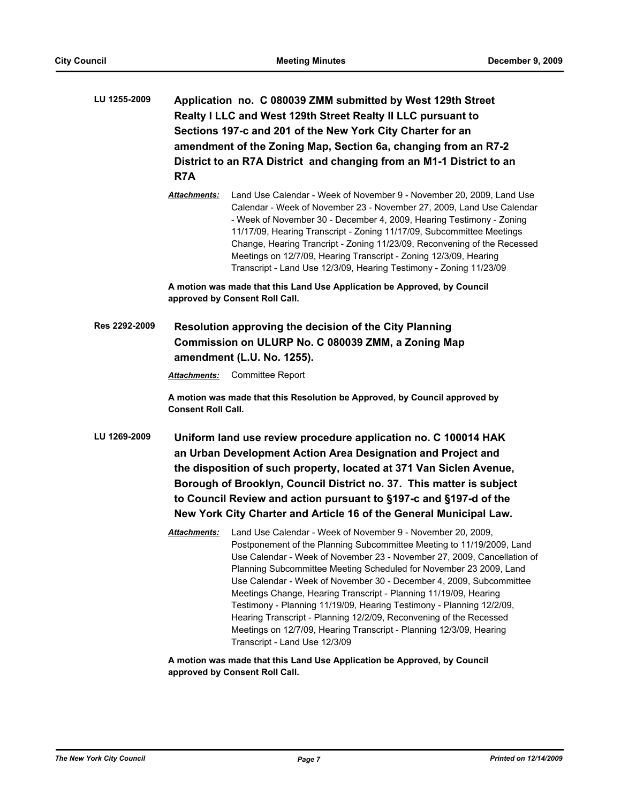| LU 1255-2009  | Application no. C 080039 ZMM submitted by West 129th Street<br>Realty I LLC and West 129th Street Realty II LLC pursuant to<br>Sections 197-c and 201 of the New York City Charter for an<br>amendment of the Zoning Map, Section 6a, changing from an R7-2<br>District to an R7A District and changing from an M1-1 District to an<br>R7A                                                                               |                                                                                                                                                                                                                                                                                                                                                                                                                                                                                                                                                                                                                                                       |
|---------------|--------------------------------------------------------------------------------------------------------------------------------------------------------------------------------------------------------------------------------------------------------------------------------------------------------------------------------------------------------------------------------------------------------------------------|-------------------------------------------------------------------------------------------------------------------------------------------------------------------------------------------------------------------------------------------------------------------------------------------------------------------------------------------------------------------------------------------------------------------------------------------------------------------------------------------------------------------------------------------------------------------------------------------------------------------------------------------------------|
|               | Attachments:                                                                                                                                                                                                                                                                                                                                                                                                             | Land Use Calendar - Week of November 9 - November 20, 2009, Land Use<br>Calendar - Week of November 23 - November 27, 2009, Land Use Calendar<br>- Week of November 30 - December 4, 2009, Hearing Testimony - Zoning<br>11/17/09, Hearing Transcript - Zoning 11/17/09, Subcommittee Meetings<br>Change, Hearing Trancript - Zoning 11/23/09, Reconvening of the Recessed<br>Meetings on 12/7/09, Hearing Transcript - Zoning 12/3/09, Hearing<br>Transcript - Land Use 12/3/09, Hearing Testimony - Zoning 11/23/09                                                                                                                                 |
|               |                                                                                                                                                                                                                                                                                                                                                                                                                          | A motion was made that this Land Use Application be Approved, by Council<br>approved by Consent Roll Call.                                                                                                                                                                                                                                                                                                                                                                                                                                                                                                                                            |
| Res 2292-2009 |                                                                                                                                                                                                                                                                                                                                                                                                                          | Resolution approving the decision of the City Planning<br>Commission on ULURP No. C 080039 ZMM, a Zoning Map<br>amendment (L.U. No. 1255).                                                                                                                                                                                                                                                                                                                                                                                                                                                                                                            |
|               | Attachments:                                                                                                                                                                                                                                                                                                                                                                                                             | <b>Committee Report</b>                                                                                                                                                                                                                                                                                                                                                                                                                                                                                                                                                                                                                               |
|               | <b>Consent Roll Call.</b>                                                                                                                                                                                                                                                                                                                                                                                                | A motion was made that this Resolution be Approved, by Council approved by                                                                                                                                                                                                                                                                                                                                                                                                                                                                                                                                                                            |
| LU 1269-2009  | Uniform land use review procedure application no. C 100014 HAK<br>an Urban Development Action Area Designation and Project and<br>the disposition of such property, located at 371 Van Siclen Avenue,<br>Borough of Brooklyn, Council District no. 37. This matter is subject<br>to Council Review and action pursuant to §197-c and §197-d of the<br>New York City Charter and Article 16 of the General Municipal Law. |                                                                                                                                                                                                                                                                                                                                                                                                                                                                                                                                                                                                                                                       |
|               | Attachments:                                                                                                                                                                                                                                                                                                                                                                                                             | Land Use Calendar - Week of November 9 - November 20, 2009,<br>Postponement of the Planning Subcommittee Meeting to 11/19/2009, Land<br>Use Calendar - Week of November 23 - November 27, 2009, Cancellation of<br>Planning Subcommittee Meeting Scheduled for November 23 2009, Land<br>Use Calendar - Week of November 30 - December 4, 2009, Subcommittee<br>Meetings Change, Hearing Transcript - Planning 11/19/09, Hearing<br>Testimony - Planning 11/19/09, Hearing Testimony - Planning 12/2/09,<br>Hearing Transcript - Planning 12/2/09, Reconvening of the Recessed<br>Meetings on 12/7/09, Hearing Transcript - Planning 12/3/09, Hearing |

**A motion was made that this Land Use Application be Approved, by Council approved by Consent Roll Call.**

Transcript - Land Use 12/3/09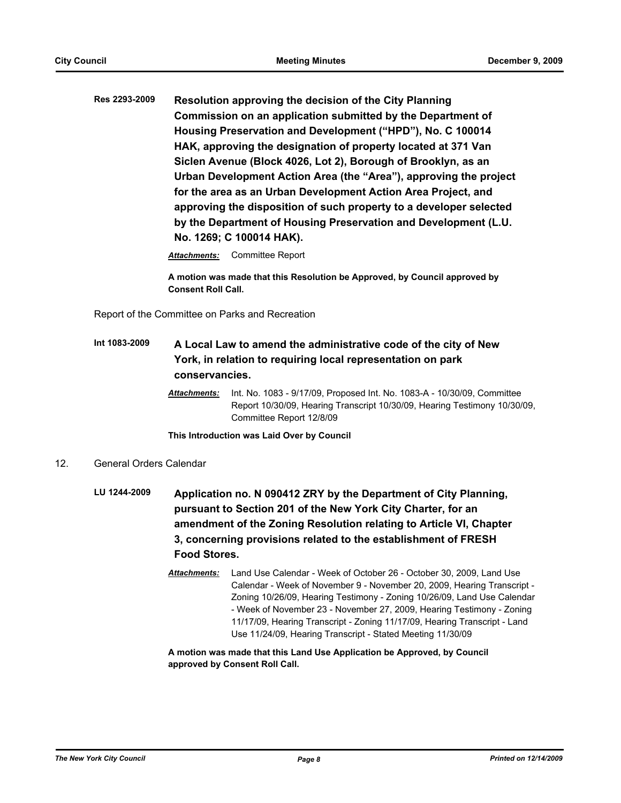**Res 2293-2009 Resolution approving the decision of the City Planning Commission on an application submitted by the Department of Housing Preservation and Development ("HPD"), No. C 100014 HAK, approving the designation of property located at 371 Van Siclen Avenue (Block 4026, Lot 2), Borough of Brooklyn, as an Urban Development Action Area (the "Area"), approving the project for the area as an Urban Development Action Area Project, and approving the disposition of such property to a developer selected by the Department of Housing Preservation and Development (L.U. No. 1269; C 100014 HAK).**

*Attachments:* Committee Report

**A motion was made that this Resolution be Approved, by Council approved by Consent Roll Call.**

Report of the Committee on Parks and Recreation

# **Int 1083-2009 A Local Law to amend the administrative code of the city of New York, in relation to requiring local representation on park conservancies.**

*Attachments:* Int. No. 1083 - 9/17/09, Proposed Int. No. 1083-A - 10/30/09, Committee Report 10/30/09, Hearing Transcript 10/30/09, Hearing Testimony 10/30/09, Committee Report 12/8/09

**This Introduction was Laid Over by Council**

- 12. General Orders Calendar
	- **LU 1244-2009 Application no. N 090412 ZRY by the Department of City Planning, pursuant to Section 201 of the New York City Charter, for an amendment of the Zoning Resolution relating to Article VI, Chapter 3, concerning provisions related to the establishment of FRESH Food Stores.**
		- *Attachments:* Land Use Calendar Week of October 26 October 30, 2009, Land Use Calendar - Week of November 9 - November 20, 2009, Hearing Transcript - Zoning 10/26/09, Hearing Testimony - Zoning 10/26/09, Land Use Calendar - Week of November 23 - November 27, 2009, Hearing Testimony - Zoning 11/17/09, Hearing Transcript - Zoning 11/17/09, Hearing Transcript - Land Use 11/24/09, Hearing Transcript - Stated Meeting 11/30/09

**A motion was made that this Land Use Application be Approved, by Council approved by Consent Roll Call.**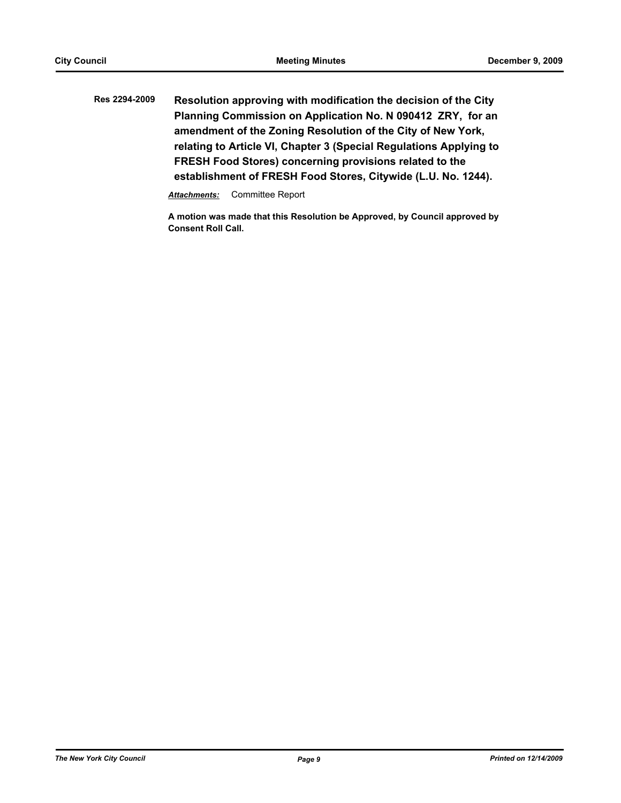**Res 2294-2009 Resolution approving with modification the decision of the City Planning Commission on Application No. N 090412 ZRY, for an amendment of the Zoning Resolution of the City of New York, relating to Article VI, Chapter 3 (Special Regulations Applying to FRESH Food Stores) concerning provisions related to the establishment of FRESH Food Stores, Citywide (L.U. No. 1244).**

*Attachments:* Committee Report

**A motion was made that this Resolution be Approved, by Council approved by Consent Roll Call.**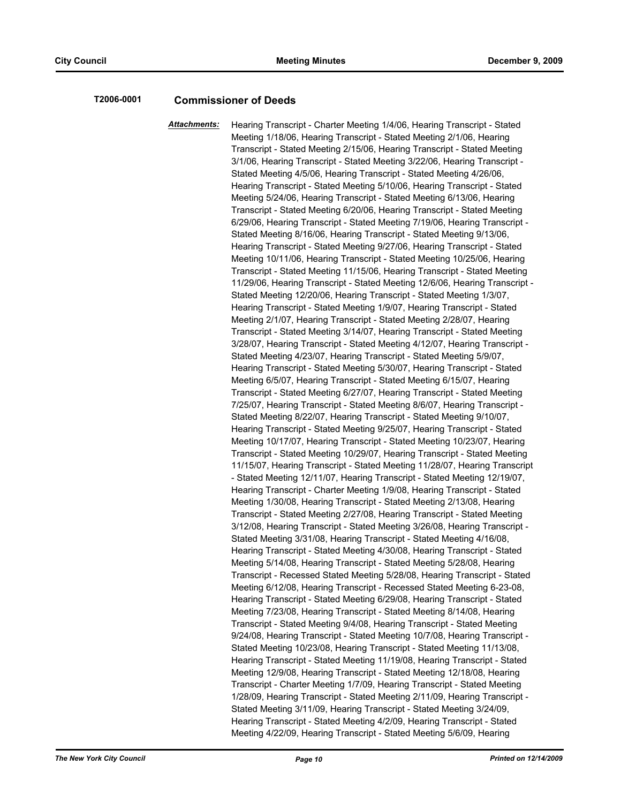### **T2006-0001 Commissioner of Deeds**

*Attachments:* Hearing Transcript - Charter Meeting 1/4/06, Hearing Transcript - Stated Meeting 1/18/06, Hearing Transcript - Stated Meeting 2/1/06, Hearing Transcript - Stated Meeting 2/15/06, Hearing Transcript - Stated Meeting 3/1/06, Hearing Transcript - Stated Meeting 3/22/06, Hearing Transcript - Stated Meeting 4/5/06, Hearing Transcript - Stated Meeting 4/26/06, Hearing Transcript - Stated Meeting 5/10/06, Hearing Transcript - Stated Meeting 5/24/06, Hearing Transcript - Stated Meeting 6/13/06, Hearing Transcript - Stated Meeting 6/20/06, Hearing Transcript - Stated Meeting 6/29/06, Hearing Transcript - Stated Meeting 7/19/06, Hearing Transcript - Stated Meeting 8/16/06, Hearing Transcript - Stated Meeting 9/13/06, Hearing Transcript - Stated Meeting 9/27/06, Hearing Transcript - Stated Meeting 10/11/06, Hearing Transcript - Stated Meeting 10/25/06, Hearing Transcript - Stated Meeting 11/15/06, Hearing Transcript - Stated Meeting 11/29/06, Hearing Transcript - Stated Meeting 12/6/06, Hearing Transcript - Stated Meeting 12/20/06, Hearing Transcript - Stated Meeting 1/3/07, Hearing Transcript - Stated Meeting 1/9/07, Hearing Transcript - Stated Meeting 2/1/07, Hearing Transcript - Stated Meeting 2/28/07, Hearing Transcript - Stated Meeting 3/14/07, Hearing Transcript - Stated Meeting 3/28/07, Hearing Transcript - Stated Meeting 4/12/07, Hearing Transcript - Stated Meeting 4/23/07, Hearing Transcript - Stated Meeting 5/9/07, Hearing Transcript - Stated Meeting 5/30/07, Hearing Transcript - Stated Meeting 6/5/07, Hearing Transcript - Stated Meeting 6/15/07, Hearing Transcript - Stated Meeting 6/27/07, Hearing Transcript - Stated Meeting 7/25/07, Hearing Transcript - Stated Meeting 8/6/07, Hearing Transcript - Stated Meeting 8/22/07, Hearing Transcript - Stated Meeting 9/10/07, Hearing Transcript - Stated Meeting 9/25/07, Hearing Transcript - Stated Meeting 10/17/07, Hearing Transcript - Stated Meeting 10/23/07, Hearing Transcript - Stated Meeting 10/29/07, Hearing Transcript - Stated Meeting 11/15/07, Hearing Transcript - Stated Meeting 11/28/07, Hearing Transcript - Stated Meeting 12/11/07, Hearing Transcript - Stated Meeting 12/19/07, Hearing Transcript - Charter Meeting 1/9/08, Hearing Transcript - Stated Meeting 1/30/08, Hearing Transcript - Stated Meeting 2/13/08, Hearing Transcript - Stated Meeting 2/27/08, Hearing Transcript - Stated Meeting 3/12/08, Hearing Transcript - Stated Meeting 3/26/08, Hearing Transcript - Stated Meeting 3/31/08, Hearing Transcript - Stated Meeting 4/16/08, Hearing Transcript - Stated Meeting 4/30/08, Hearing Transcript - Stated Meeting 5/14/08, Hearing Transcript - Stated Meeting 5/28/08, Hearing Transcript - Recessed Stated Meeting 5/28/08, Hearing Transcript - Stated Meeting 6/12/08, Hearing Transcript - Recessed Stated Meeting 6-23-08, Hearing Transcript - Stated Meeting 6/29/08, Hearing Transcript - Stated Meeting 7/23/08, Hearing Transcript - Stated Meeting 8/14/08, Hearing Transcript - Stated Meeting 9/4/08, Hearing Transcript - Stated Meeting 9/24/08, Hearing Transcript - Stated Meeting 10/7/08, Hearing Transcript - Stated Meeting 10/23/08, Hearing Transcript - Stated Meeting 11/13/08, Hearing Transcript - Stated Meeting 11/19/08, Hearing Transcript - Stated Meeting 12/9/08, Hearing Transcript - Stated Meeting 12/18/08, Hearing Transcript - Charter Meeting 1/7/09, Hearing Transcript - Stated Meeting 1/28/09, Hearing Transcript - Stated Meeting 2/11/09, Hearing Transcript - Stated Meeting 3/11/09, Hearing Transcript - Stated Meeting 3/24/09, Hearing Transcript - Stated Meeting 4/2/09, Hearing Transcript - Stated Meeting 4/22/09, Hearing Transcript - Stated Meeting 5/6/09, Hearing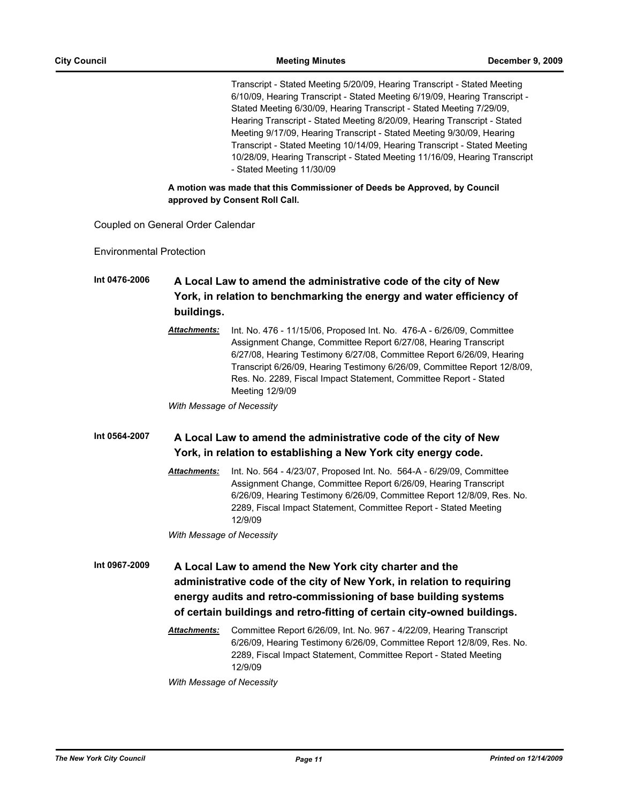Transcript - Stated Meeting 5/20/09, Hearing Transcript - Stated Meeting 6/10/09, Hearing Transcript - Stated Meeting 6/19/09, Hearing Transcript - Stated Meeting 6/30/09, Hearing Transcript - Stated Meeting 7/29/09, Hearing Transcript - Stated Meeting 8/20/09, Hearing Transcript - Stated Meeting 9/17/09, Hearing Transcript - Stated Meeting 9/30/09, Hearing Transcript - Stated Meeting 10/14/09, Hearing Transcript - Stated Meeting 10/28/09, Hearing Transcript - Stated Meeting 11/16/09, Hearing Transcript - Stated Meeting 11/30/09

**A motion was made that this Commissioner of Deeds be Approved, by Council approved by Consent Roll Call.**

Coupled on General Order Calendar

Environmental Protection

**Int 0476-2006 A Local Law to amend the administrative code of the city of New York, in relation to benchmarking the energy and water efficiency of buildings.**

> *Attachments:* Int. No. 476 - 11/15/06, Proposed Int. No. 476-A - 6/26/09, Committee Assignment Change, Committee Report 6/27/08, Hearing Transcript 6/27/08, Hearing Testimony 6/27/08, Committee Report 6/26/09, Hearing Transcript 6/26/09, Hearing Testimony 6/26/09, Committee Report 12/8/09, Res. No. 2289, Fiscal Impact Statement, Committee Report - Stated Meeting 12/9/09

*With Message of Necessity*

**Int 0564-2007 A Local Law to amend the administrative code of the city of New York, in relation to establishing a New York city energy code.**

> *Attachments:* Int. No. 564 - 4/23/07, Proposed Int. No. 564-A - 6/29/09, Committee Assignment Change, Committee Report 6/26/09, Hearing Transcript 6/26/09, Hearing Testimony 6/26/09, Committee Report 12/8/09, Res. No. 2289, Fiscal Impact Statement, Committee Report - Stated Meeting 12/9/09

*With Message of Necessity*

**Int 0967-2009 A Local Law to amend the New York city charter and the administrative code of the city of New York, in relation to requiring energy audits and retro-commissioning of base building systems of certain buildings and retro-fitting of certain city-owned buildings.**

> *Attachments:* Committee Report 6/26/09, Int. No. 967 - 4/22/09, Hearing Transcript 6/26/09, Hearing Testimony 6/26/09, Committee Report 12/8/09, Res. No. 2289, Fiscal Impact Statement, Committee Report - Stated Meeting 12/9/09

*With Message of Necessity*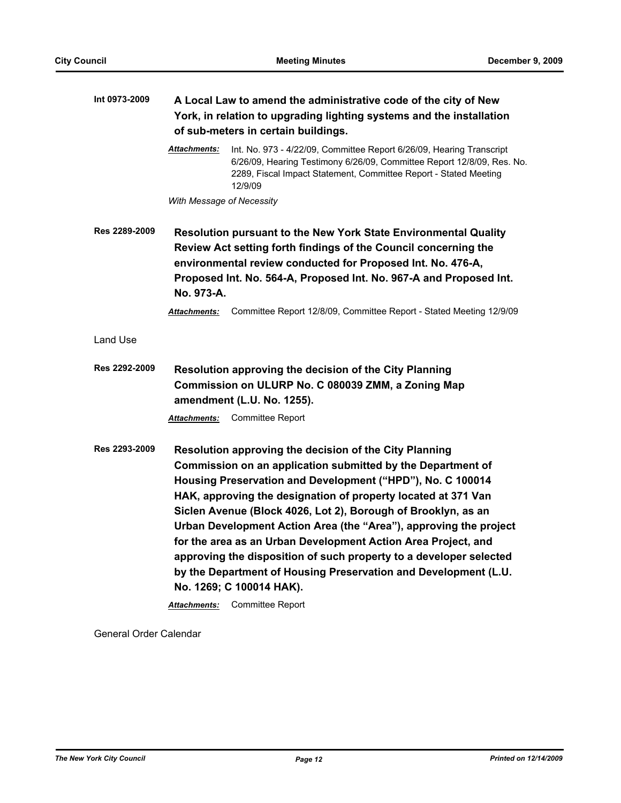| Int 0973-2009 | A Local Law to amend the administrative code of the city of New<br>York, in relation to upgrading lighting systems and the installation<br>of sub-meters in certain buildings. |                                                                                                                                                                                                                                                                                                                                                                                                                                                                                                                                                                                                                          |
|---------------|--------------------------------------------------------------------------------------------------------------------------------------------------------------------------------|--------------------------------------------------------------------------------------------------------------------------------------------------------------------------------------------------------------------------------------------------------------------------------------------------------------------------------------------------------------------------------------------------------------------------------------------------------------------------------------------------------------------------------------------------------------------------------------------------------------------------|
|               | Attachments:<br>12/9/09                                                                                                                                                        | Int. No. 973 - 4/22/09, Committee Report 6/26/09, Hearing Transcript<br>6/26/09, Hearing Testimony 6/26/09, Committee Report 12/8/09, Res. No.<br>2289, Fiscal Impact Statement, Committee Report - Stated Meeting                                                                                                                                                                                                                                                                                                                                                                                                       |
|               | With Message of Necessity                                                                                                                                                      |                                                                                                                                                                                                                                                                                                                                                                                                                                                                                                                                                                                                                          |
| Res 2289-2009 | No. 973-A.                                                                                                                                                                     | Resolution pursuant to the New York State Environmental Quality<br>Review Act setting forth findings of the Council concerning the<br>environmental review conducted for Proposed Int. No. 476-A,<br>Proposed Int. No. 564-A, Proposed Int. No. 967-A and Proposed Int.                                                                                                                                                                                                                                                                                                                                                  |
|               | Attachments:                                                                                                                                                                   | Committee Report 12/8/09, Committee Report - Stated Meeting 12/9/09                                                                                                                                                                                                                                                                                                                                                                                                                                                                                                                                                      |
| Land Use      |                                                                                                                                                                                |                                                                                                                                                                                                                                                                                                                                                                                                                                                                                                                                                                                                                          |
| Res 2292-2009 | amendment (L.U. No. 1255).                                                                                                                                                     | Resolution approving the decision of the City Planning<br>Commission on ULURP No. C 080039 ZMM, a Zoning Map                                                                                                                                                                                                                                                                                                                                                                                                                                                                                                             |
|               | <b>Attachments:</b>                                                                                                                                                            | <b>Committee Report</b>                                                                                                                                                                                                                                                                                                                                                                                                                                                                                                                                                                                                  |
| Res 2293-2009 | No. 1269; C 100014 HAK).<br>Attachments:                                                                                                                                       | Resolution approving the decision of the City Planning<br>Commission on an application submitted by the Department of<br>Housing Preservation and Development ("HPD"), No. C 100014<br>HAK, approving the designation of property located at 371 Van<br>Siclen Avenue (Block 4026, Lot 2), Borough of Brooklyn, as an<br>Urban Development Action Area (the "Area"), approving the project<br>for the area as an Urban Development Action Area Project, and<br>approving the disposition of such property to a developer selected<br>by the Department of Housing Preservation and Development (L.U.<br>Committee Report |

General Order Calendar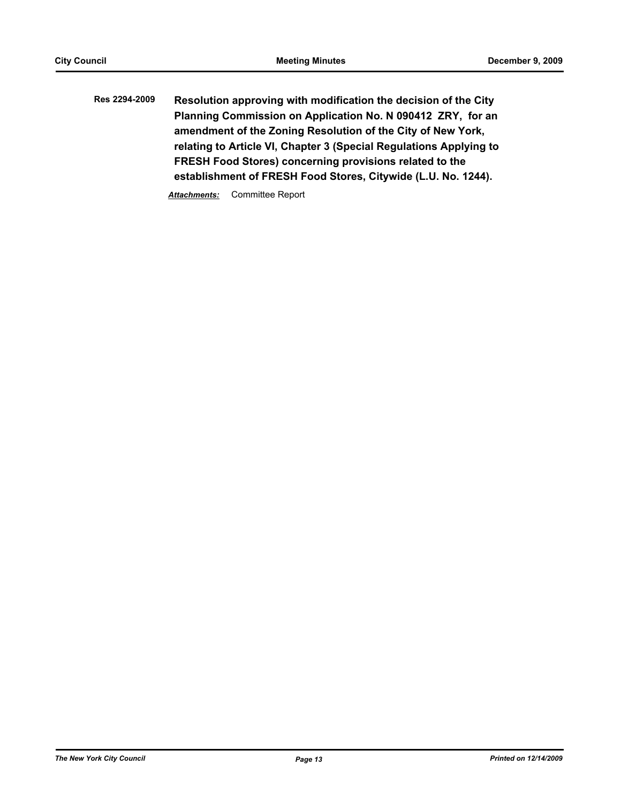**Res 2294-2009 Resolution approving with modification the decision of the City Planning Commission on Application No. N 090412 ZRY, for an amendment of the Zoning Resolution of the City of New York, relating to Article VI, Chapter 3 (Special Regulations Applying to FRESH Food Stores) concerning provisions related to the establishment of FRESH Food Stores, Citywide (L.U. No. 1244).**

*Attachments:* Committee Report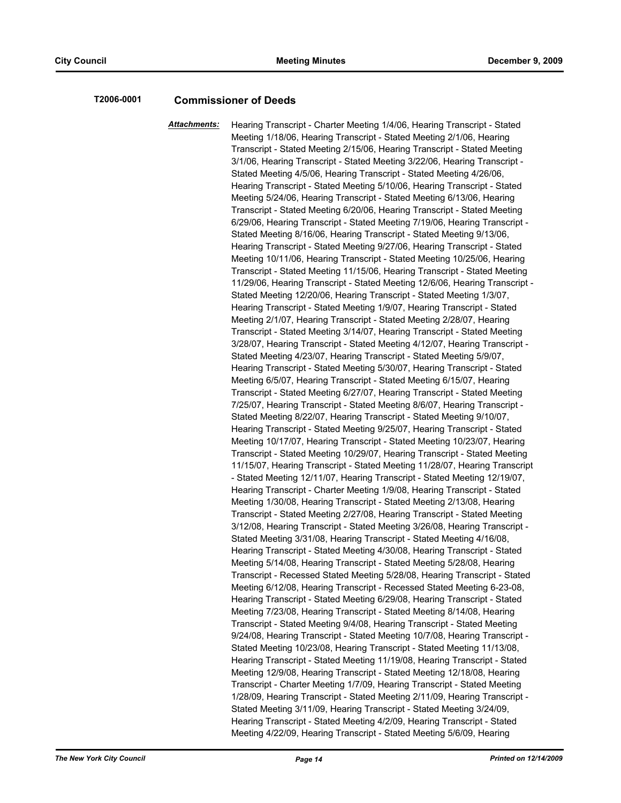### **T2006-0001 Commissioner of Deeds**

*Attachments:* Hearing Transcript - Charter Meeting 1/4/06, Hearing Transcript - Stated Meeting 1/18/06, Hearing Transcript - Stated Meeting 2/1/06, Hearing Transcript - Stated Meeting 2/15/06, Hearing Transcript - Stated Meeting 3/1/06, Hearing Transcript - Stated Meeting 3/22/06, Hearing Transcript - Stated Meeting 4/5/06, Hearing Transcript - Stated Meeting 4/26/06, Hearing Transcript - Stated Meeting 5/10/06, Hearing Transcript - Stated Meeting 5/24/06, Hearing Transcript - Stated Meeting 6/13/06, Hearing Transcript - Stated Meeting 6/20/06, Hearing Transcript - Stated Meeting 6/29/06, Hearing Transcript - Stated Meeting 7/19/06, Hearing Transcript - Stated Meeting 8/16/06, Hearing Transcript - Stated Meeting 9/13/06, Hearing Transcript - Stated Meeting 9/27/06, Hearing Transcript - Stated Meeting 10/11/06, Hearing Transcript - Stated Meeting 10/25/06, Hearing Transcript - Stated Meeting 11/15/06, Hearing Transcript - Stated Meeting 11/29/06, Hearing Transcript - Stated Meeting 12/6/06, Hearing Transcript - Stated Meeting 12/20/06, Hearing Transcript - Stated Meeting 1/3/07, Hearing Transcript - Stated Meeting 1/9/07, Hearing Transcript - Stated Meeting 2/1/07, Hearing Transcript - Stated Meeting 2/28/07, Hearing Transcript - Stated Meeting 3/14/07, Hearing Transcript - Stated Meeting 3/28/07, Hearing Transcript - Stated Meeting 4/12/07, Hearing Transcript - Stated Meeting 4/23/07, Hearing Transcript - Stated Meeting 5/9/07, Hearing Transcript - Stated Meeting 5/30/07, Hearing Transcript - Stated Meeting 6/5/07, Hearing Transcript - Stated Meeting 6/15/07, Hearing Transcript - Stated Meeting 6/27/07, Hearing Transcript - Stated Meeting 7/25/07, Hearing Transcript - Stated Meeting 8/6/07, Hearing Transcript - Stated Meeting 8/22/07, Hearing Transcript - Stated Meeting 9/10/07, Hearing Transcript - Stated Meeting 9/25/07, Hearing Transcript - Stated Meeting 10/17/07, Hearing Transcript - Stated Meeting 10/23/07, Hearing Transcript - Stated Meeting 10/29/07, Hearing Transcript - Stated Meeting 11/15/07, Hearing Transcript - Stated Meeting 11/28/07, Hearing Transcript - Stated Meeting 12/11/07, Hearing Transcript - Stated Meeting 12/19/07, Hearing Transcript - Charter Meeting 1/9/08, Hearing Transcript - Stated Meeting 1/30/08, Hearing Transcript - Stated Meeting 2/13/08, Hearing Transcript - Stated Meeting 2/27/08, Hearing Transcript - Stated Meeting 3/12/08, Hearing Transcript - Stated Meeting 3/26/08, Hearing Transcript - Stated Meeting 3/31/08, Hearing Transcript - Stated Meeting 4/16/08, Hearing Transcript - Stated Meeting 4/30/08, Hearing Transcript - Stated Meeting 5/14/08, Hearing Transcript - Stated Meeting 5/28/08, Hearing Transcript - Recessed Stated Meeting 5/28/08, Hearing Transcript - Stated Meeting 6/12/08, Hearing Transcript - Recessed Stated Meeting 6-23-08, Hearing Transcript - Stated Meeting 6/29/08, Hearing Transcript - Stated Meeting 7/23/08, Hearing Transcript - Stated Meeting 8/14/08, Hearing Transcript - Stated Meeting 9/4/08, Hearing Transcript - Stated Meeting 9/24/08, Hearing Transcript - Stated Meeting 10/7/08, Hearing Transcript - Stated Meeting 10/23/08, Hearing Transcript - Stated Meeting 11/13/08, Hearing Transcript - Stated Meeting 11/19/08, Hearing Transcript - Stated Meeting 12/9/08, Hearing Transcript - Stated Meeting 12/18/08, Hearing Transcript - Charter Meeting 1/7/09, Hearing Transcript - Stated Meeting 1/28/09, Hearing Transcript - Stated Meeting 2/11/09, Hearing Transcript - Stated Meeting 3/11/09, Hearing Transcript - Stated Meeting 3/24/09, Hearing Transcript - Stated Meeting 4/2/09, Hearing Transcript - Stated Meeting 4/22/09, Hearing Transcript - Stated Meeting 5/6/09, Hearing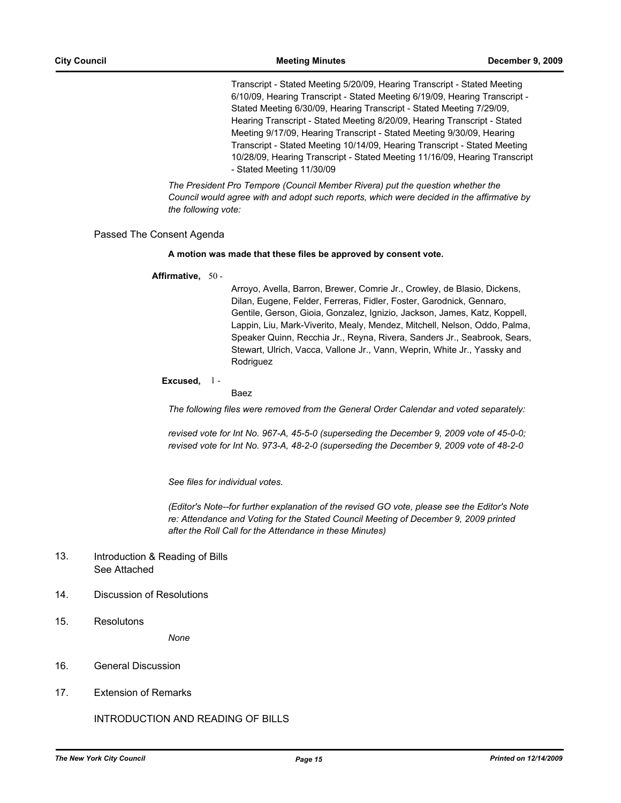Transcript - Stated Meeting 5/20/09, Hearing Transcript - Stated Meeting 6/10/09, Hearing Transcript - Stated Meeting 6/19/09, Hearing Transcript - Stated Meeting 6/30/09, Hearing Transcript - Stated Meeting 7/29/09, Hearing Transcript - Stated Meeting 8/20/09, Hearing Transcript - Stated Meeting 9/17/09, Hearing Transcript - Stated Meeting 9/30/09, Hearing Transcript - Stated Meeting 10/14/09, Hearing Transcript - Stated Meeting 10/28/09, Hearing Transcript - Stated Meeting 11/16/09, Hearing Transcript - Stated Meeting 11/30/09

*The President Pro Tempore (Council Member Rivera) put the question whether the Council would agree with and adopt such reports, which were decided in the affirmative by the following vote:*

### Passed The Consent Agenda

### **A motion was made that these files be approved by consent vote.**

### **Affirmative,** 50 -

Arroyo, Avella, Barron, Brewer, Comrie Jr., Crowley, de Blasio, Dickens, Dilan, Eugene, Felder, Ferreras, Fidler, Foster, Garodnick, Gennaro, Gentile, Gerson, Gioia, Gonzalez, Ignizio, Jackson, James, Katz, Koppell, Lappin, Liu, Mark-Viverito, Mealy, Mendez, Mitchell, Nelson, Oddo, Palma, Speaker Quinn, Recchia Jr., Reyna, Rivera, Sanders Jr., Seabrook, Sears, Stewart, Ulrich, Vacca, Vallone Jr., Vann, Weprin, White Jr., Yassky and Rodriguez

### **Excused,** 1 -

### Baez

*The following files were removed from the General Order Calendar and voted separately:*

*revised vote for Int No. 967-A, 45-5-0 (superseding the December 9, 2009 vote of 45-0-0; revised vote for Int No. 973-A, 48-2-0 (superseding the December 9, 2009 vote of 48-2-0*

*See files for individual votes.*

*(Editor's Note--for further explanation of the revised GO vote, please see the Editor's Note*  re: Attendance and Voting for the Stated Council Meeting of December 9, 2009 printed *after the Roll Call for the Attendance in these Minutes)*

#### Introduction & Reading of Bills See Attached 13.

- 14. Discussion of Resolutions
- 15. Resolutons

*None*

- 16. General Discussion
- 17. Extension of Remarks

INTRODUCTION AND READING OF BILLS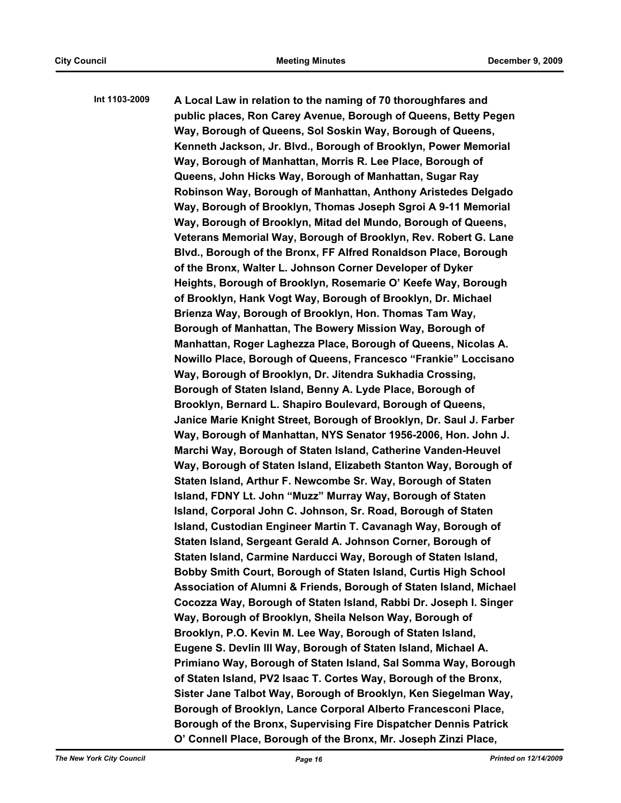**Int 1103-2009 A Local Law in relation to the naming of 70 thoroughfares and public places, Ron Carey Avenue, Borough of Queens, Betty Pegen Way, Borough of Queens, Sol Soskin Way, Borough of Queens, Kenneth Jackson, Jr. Blvd., Borough of Brooklyn, Power Memorial Way, Borough of Manhattan, Morris R. Lee Place, Borough of Queens, John Hicks Way, Borough of Manhattan, Sugar Ray Robinson Way, Borough of Manhattan, Anthony Aristedes Delgado Way, Borough of Brooklyn, Thomas Joseph Sgroi A 9-11 Memorial Way, Borough of Brooklyn, Mitad del Mundo, Borough of Queens, Veterans Memorial Way, Borough of Brooklyn, Rev. Robert G. Lane Blvd., Borough of the Bronx, FF Alfred Ronaldson Place, Borough of the Bronx, Walter L. Johnson Corner Developer of Dyker Heights, Borough of Brooklyn, Rosemarie O' Keefe Way, Borough of Brooklyn, Hank Vogt Way, Borough of Brooklyn, Dr. Michael Brienza Way, Borough of Brooklyn, Hon. Thomas Tam Way, Borough of Manhattan, The Bowery Mission Way, Borough of Manhattan, Roger Laghezza Place, Borough of Queens, Nicolas A. Nowillo Place, Borough of Queens, Francesco "Frankie" Loccisano Way, Borough of Brooklyn, Dr. Jitendra Sukhadia Crossing, Borough of Staten Island, Benny A. Lyde Place, Borough of Brooklyn, Bernard L. Shapiro Boulevard, Borough of Queens, Janice Marie Knight Street, Borough of Brooklyn, Dr. Saul J. Farber Way, Borough of Manhattan, NYS Senator 1956-2006, Hon. John J. Marchi Way, Borough of Staten Island, Catherine Vanden-Heuvel Way, Borough of Staten Island, Elizabeth Stanton Way, Borough of Staten Island, Arthur F. Newcombe Sr. Way, Borough of Staten Island, FDNY Lt. John "Muzz" Murray Way, Borough of Staten Island, Corporal John C. Johnson, Sr. Road, Borough of Staten Island, Custodian Engineer Martin T. Cavanagh Way, Borough of Staten Island, Sergeant Gerald A. Johnson Corner, Borough of Staten Island, Carmine Narducci Way, Borough of Staten Island, Bobby Smith Court, Borough of Staten Island, Curtis High School Association of Alumni & Friends, Borough of Staten Island, Michael Cocozza Way, Borough of Staten Island, Rabbi Dr. Joseph I. Singer Way, Borough of Brooklyn, Sheila Nelson Way, Borough of Brooklyn, P.O. Kevin M. Lee Way, Borough of Staten Island, Eugene S. Devlin III Way, Borough of Staten Island, Michael A. Primiano Way, Borough of Staten Island, Sal Somma Way, Borough of Staten Island, PV2 Isaac T. Cortes Way, Borough of the Bronx, Sister Jane Talbot Way, Borough of Brooklyn, Ken Siegelman Way, Borough of Brooklyn, Lance Corporal Alberto Francesconi Place, Borough of the Bronx, Supervising Fire Dispatcher Dennis Patrick O' Connell Place, Borough of the Bronx, Mr. Joseph Zinzi Place,**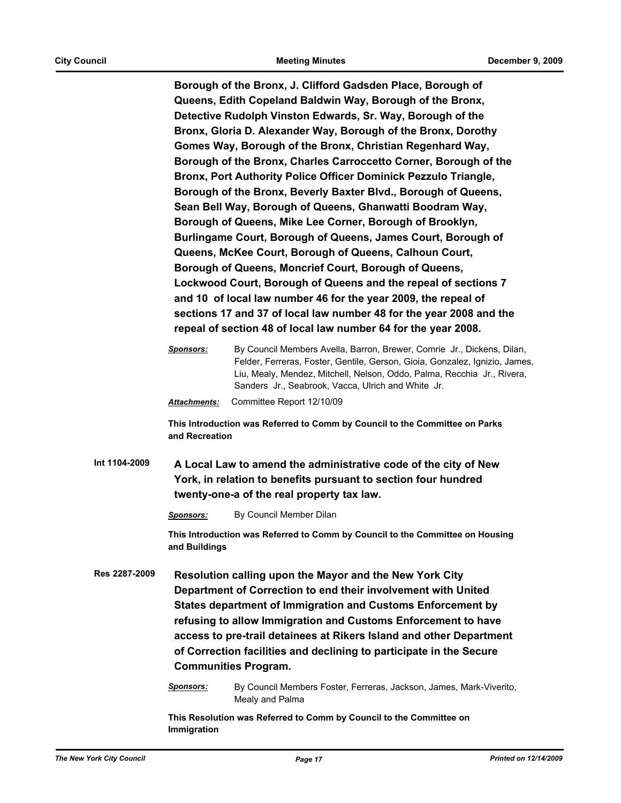**Borough of the Bronx, J. Clifford Gadsden Place, Borough of Queens, Edith Copeland Baldwin Way, Borough of the Bronx, Detective Rudolph Vinston Edwards, Sr. Way, Borough of the Bronx, Gloria D. Alexander Way, Borough of the Bronx, Dorothy Gomes Way, Borough of the Bronx, Christian Regenhard Way, Borough of the Bronx, Charles Carroccetto Corner, Borough of the Bronx, Port Authority Police Officer Dominick Pezzulo Triangle, Borough of the Bronx, Beverly Baxter Blvd., Borough of Queens, Sean Bell Way, Borough of Queens, Ghanwatti Boodram Way, Borough of Queens, Mike Lee Corner, Borough of Brooklyn, Burlingame Court, Borough of Queens, James Court, Borough of Queens, McKee Court, Borough of Queens, Calhoun Court, Borough of Queens, Moncrief Court, Borough of Queens, Lockwood Court, Borough of Queens and the repeal of sections 7 and 10 of local law number 46 for the year 2009, the repeal of sections 17 and 37 of local law number 48 for the year 2008 and the repeal of section 48 of local law number 64 for the year 2008.**

**This Introduction was Referred to Comm by Council to the Committee on Parks and Recreation**

**Int 1104-2009 A Local Law to amend the administrative code of the city of New York, in relation to benefits pursuant to section four hundred twenty-one-a of the real property tax law.**

*Sponsors:* By Council Member Dilan

**This Introduction was Referred to Comm by Council to the Committee on Housing and Buildings**

- **Res 2287-2009 Resolution calling upon the Mayor and the New York City Department of Correction to end their involvement with United States department of Immigration and Customs Enforcement by refusing to allow Immigration and Customs Enforcement to have access to pre-trail detainees at Rikers Island and other Department of Correction facilities and declining to participate in the Secure Communities Program.**
	- *Sponsors:* By Council Members Foster, Ferreras, Jackson, James, Mark-Viverito, Mealy and Palma

**This Resolution was Referred to Comm by Council to the Committee on Immigration**

*Sponsors:* By Council Members Avella, Barron, Brewer, Comrie Jr., Dickens, Dilan, Felder, Ferreras, Foster, Gentile, Gerson, Gioia, Gonzalez, Ignizio, James, Liu, Mealy, Mendez, Mitchell, Nelson, Oddo, Palma, Recchia Jr., Rivera, Sanders Jr., Seabrook, Vacca, Ulrich and White Jr. *Attachments:* Committee Report 12/10/09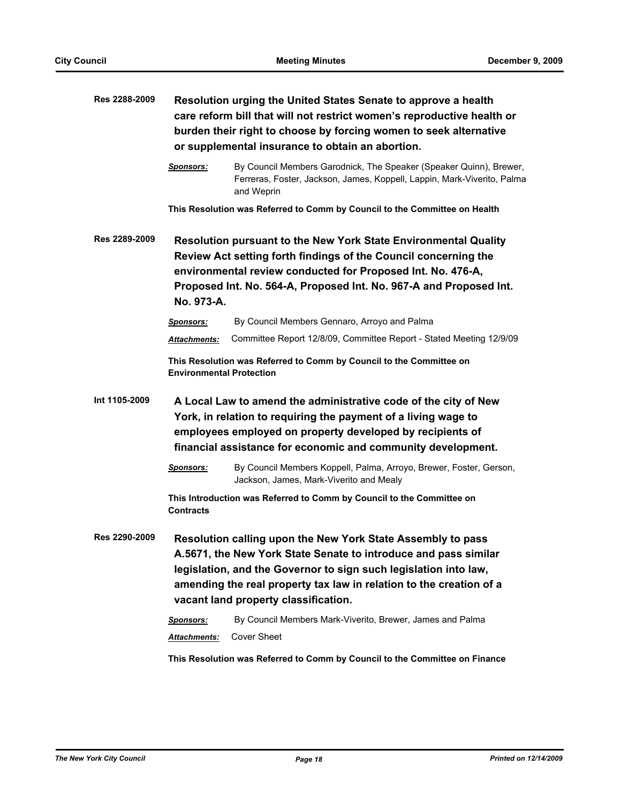| Res 2288-2009 | Resolution urging the United States Senate to approve a health<br>care reform bill that will not restrict women's reproductive health or<br>burden their right to choose by forcing women to seek alternative<br>or supplemental insurance to obtain an abortion. |                                                                                                                                                                                                                                                                                                                   |
|---------------|-------------------------------------------------------------------------------------------------------------------------------------------------------------------------------------------------------------------------------------------------------------------|-------------------------------------------------------------------------------------------------------------------------------------------------------------------------------------------------------------------------------------------------------------------------------------------------------------------|
|               | <b>Sponsors:</b>                                                                                                                                                                                                                                                  | By Council Members Garodnick, The Speaker (Speaker Quinn), Brewer,<br>Ferreras, Foster, Jackson, James, Koppell, Lappin, Mark-Viverito, Palma<br>and Weprin                                                                                                                                                       |
|               |                                                                                                                                                                                                                                                                   | This Resolution was Referred to Comm by Council to the Committee on Health                                                                                                                                                                                                                                        |
| Res 2289-2009 | No. 973-A.                                                                                                                                                                                                                                                        | Resolution pursuant to the New York State Environmental Quality<br>Review Act setting forth findings of the Council concerning the<br>environmental review conducted for Proposed Int. No. 476-A,<br>Proposed Int. No. 564-A, Proposed Int. No. 967-A and Proposed Int.                                           |
|               | Sponsors:                                                                                                                                                                                                                                                         | By Council Members Gennaro, Arroyo and Palma                                                                                                                                                                                                                                                                      |
|               | <b>Attachments:</b>                                                                                                                                                                                                                                               | Committee Report 12/8/09, Committee Report - Stated Meeting 12/9/09                                                                                                                                                                                                                                               |
|               | <b>Environmental Protection</b>                                                                                                                                                                                                                                   | This Resolution was Referred to Comm by Council to the Committee on                                                                                                                                                                                                                                               |
| Int 1105-2009 |                                                                                                                                                                                                                                                                   | A Local Law to amend the administrative code of the city of New<br>York, in relation to requiring the payment of a living wage to<br>employees employed on property developed by recipients of<br>financial assistance for economic and community development.                                                    |
|               | <b>Sponsors:</b>                                                                                                                                                                                                                                                  | By Council Members Koppell, Palma, Arroyo, Brewer, Foster, Gerson,<br>Jackson, James, Mark-Viverito and Mealy                                                                                                                                                                                                     |
|               | <b>Contracts</b>                                                                                                                                                                                                                                                  | This Introduction was Referred to Comm by Council to the Committee on                                                                                                                                                                                                                                             |
| Res 2290-2009 |                                                                                                                                                                                                                                                                   | Resolution calling upon the New York State Assembly to pass<br>A.5671, the New York State Senate to introduce and pass similar<br>legislation, and the Governor to sign such legislation into law,<br>amending the real property tax law in relation to the creation of a<br>vacant land property classification. |
|               | <u>Sponsors:</u><br>Attachments:                                                                                                                                                                                                                                  | By Council Members Mark-Viverito, Brewer, James and Palma<br><b>Cover Sheet</b>                                                                                                                                                                                                                                   |

**This Resolution was Referred to Comm by Council to the Committee on Finance**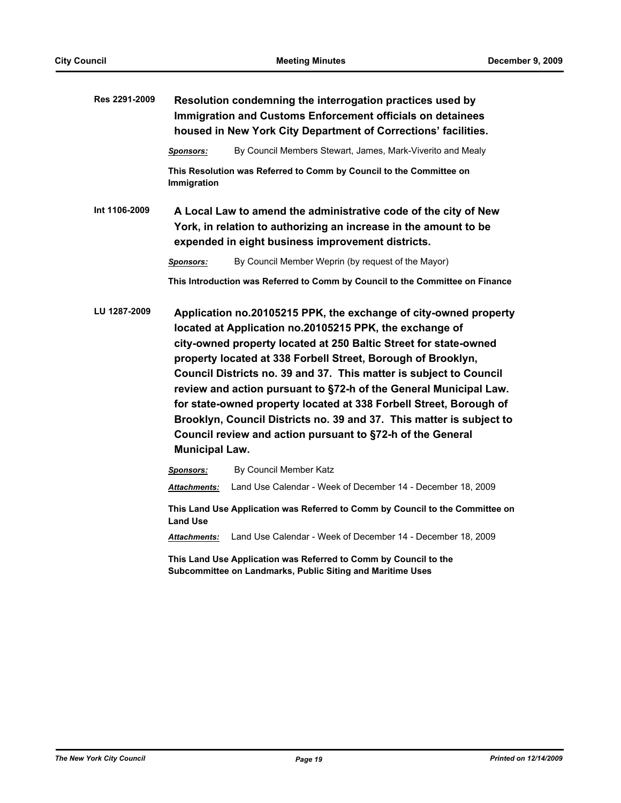| Res 2291-2009 | Resolution condemning the interrogation practices used by<br>Immigration and Customs Enforcement officials on detainees<br>housed in New York City Department of Corrections' facilities. |                                                                                                                                                                                                                                                                                                                                                                                                                                                                                                                                                                                                                        |
|---------------|-------------------------------------------------------------------------------------------------------------------------------------------------------------------------------------------|------------------------------------------------------------------------------------------------------------------------------------------------------------------------------------------------------------------------------------------------------------------------------------------------------------------------------------------------------------------------------------------------------------------------------------------------------------------------------------------------------------------------------------------------------------------------------------------------------------------------|
|               | Sponsors:                                                                                                                                                                                 | By Council Members Stewart, James, Mark-Viverito and Mealy                                                                                                                                                                                                                                                                                                                                                                                                                                                                                                                                                             |
|               | Immigration                                                                                                                                                                               | This Resolution was Referred to Comm by Council to the Committee on                                                                                                                                                                                                                                                                                                                                                                                                                                                                                                                                                    |
| Int 1106-2009 | A Local Law to amend the administrative code of the city of New<br>York, in relation to authorizing an increase in the amount to be<br>expended in eight business improvement districts.  |                                                                                                                                                                                                                                                                                                                                                                                                                                                                                                                                                                                                                        |
|               | Sponsors:                                                                                                                                                                                 | By Council Member Weprin (by request of the Mayor)                                                                                                                                                                                                                                                                                                                                                                                                                                                                                                                                                                     |
|               |                                                                                                                                                                                           | This Introduction was Referred to Comm by Council to the Committee on Finance                                                                                                                                                                                                                                                                                                                                                                                                                                                                                                                                          |
| LU 1287-2009  | <b>Municipal Law.</b>                                                                                                                                                                     | Application no.20105215 PPK, the exchange of city-owned property<br>located at Application no.20105215 PPK, the exchange of<br>city-owned property located at 250 Baltic Street for state-owned<br>property located at 338 Forbell Street, Borough of Brooklyn,<br>Council Districts no. 39 and 37. This matter is subject to Council<br>review and action pursuant to §72-h of the General Municipal Law.<br>for state-owned property located at 338 Forbell Street, Borough of<br>Brooklyn, Council Districts no. 39 and 37. This matter is subject to<br>Council review and action pursuant to §72-h of the General |
|               | Sponsors:                                                                                                                                                                                 | By Council Member Katz                                                                                                                                                                                                                                                                                                                                                                                                                                                                                                                                                                                                 |
|               | Attachments:                                                                                                                                                                              | Land Use Calendar - Week of December 14 - December 18, 2009                                                                                                                                                                                                                                                                                                                                                                                                                                                                                                                                                            |
|               | <b>Land Use</b>                                                                                                                                                                           | This Land Use Application was Referred to Comm by Council to the Committee on                                                                                                                                                                                                                                                                                                                                                                                                                                                                                                                                          |
|               | <b>Attachments:</b>                                                                                                                                                                       | Land Use Calendar - Week of December 14 - December 18, 2009                                                                                                                                                                                                                                                                                                                                                                                                                                                                                                                                                            |
|               |                                                                                                                                                                                           | This Land Use Application was Referred to Comm by Council to the<br>Subcommittee on Landmarks, Public Siting and Maritime Uses                                                                                                                                                                                                                                                                                                                                                                                                                                                                                         |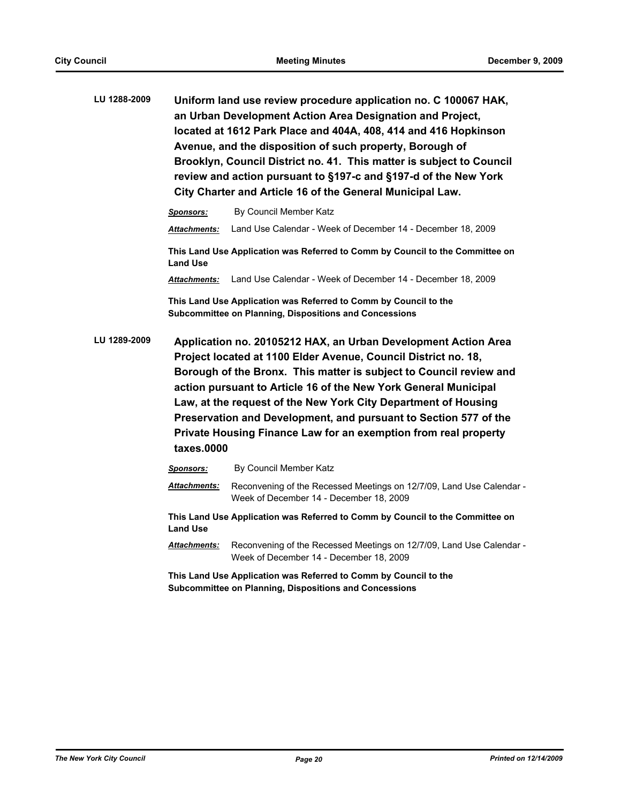| LU 1288-2009 | Uniform land use review procedure application no. C 100067 HAK,      |
|--------------|----------------------------------------------------------------------|
|              | an Urban Development Action Area Designation and Project,            |
|              | located at 1612 Park Place and 404A, 408, 414 and 416 Hopkinson      |
|              | Avenue, and the disposition of such property, Borough of             |
|              | Brooklyn, Council District no. 41. This matter is subject to Council |
|              | review and action pursuant to §197-c and §197-d of the New York      |
|              | City Charter and Article 16 of the General Municipal Law.            |

*Sponsors:* By Council Member Katz *Attachments:* Land Use Calendar - Week of December 14 - December 18, 2009 **This Land Use Application was Referred to Comm by Council to the Committee on Land Use**

*Attachments:* Land Use Calendar - Week of December 14 - December 18, 2009

**This Land Use Application was Referred to Comm by Council to the Subcommittee on Planning, Dispositions and Concessions**

**LU 1289-2009 Application no. 20105212 HAX, an Urban Development Action Area Project located at 1100 Elder Avenue, Council District no. 18, Borough of the Bronx. This matter is subject to Council review and action pursuant to Article 16 of the New York General Municipal Law, at the request of the New York City Department of Housing Preservation and Development, and pursuant to Section 577 of the Private Housing Finance Law for an exemption from real property taxes.0000**

*Sponsors:* By Council Member Katz

*Attachments:* Reconvening of the Recessed Meetings on 12/7/09, Land Use Calendar - Week of December 14 - December 18, 2009

**This Land Use Application was Referred to Comm by Council to the Committee on Land Use**

*Attachments:* Reconvening of the Recessed Meetings on 12/7/09, Land Use Calendar - Week of December 14 - December 18, 2009

**This Land Use Application was Referred to Comm by Council to the Subcommittee on Planning, Dispositions and Concessions**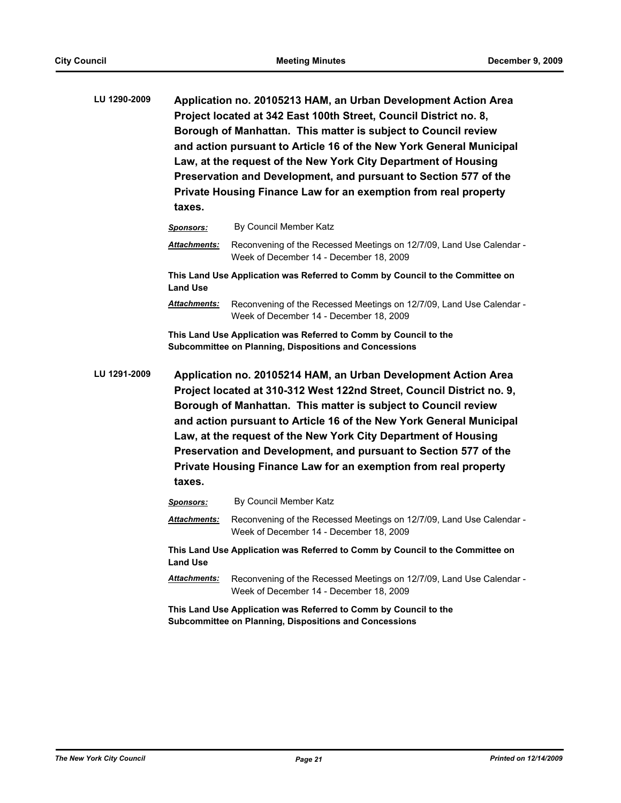| LU 1290-2009 | Application no. 20105213 HAM, an Urban Development Action Area      |
|--------------|---------------------------------------------------------------------|
|              | Project located at 342 East 100th Street, Council District no. 8,   |
|              | Borough of Manhattan. This matter is subject to Council review      |
|              | and action pursuant to Article 16 of the New York General Municipal |
|              | Law, at the request of the New York City Department of Housing      |
|              | Preservation and Development, and pursuant to Section 577 of the    |
|              | Private Housing Finance Law for an exemption from real property     |
|              | taxes.                                                              |

|              | <b>Sponsors:</b>    | By Council Member Katz                                                                                                                                                                                                                                                                                                                             |
|--------------|---------------------|----------------------------------------------------------------------------------------------------------------------------------------------------------------------------------------------------------------------------------------------------------------------------------------------------------------------------------------------------|
|              | <b>Attachments:</b> | Reconvening of the Recessed Meetings on 12/7/09, Land Use Calendar -<br>Week of December 14 - December 18, 2009                                                                                                                                                                                                                                    |
|              | <b>Land Use</b>     | This Land Use Application was Referred to Comm by Council to the Committee on                                                                                                                                                                                                                                                                      |
|              | <b>Attachments:</b> | Reconvening of the Recessed Meetings on 12/7/09, Land Use Calendar -<br>Week of December 14 - December 18, 2009                                                                                                                                                                                                                                    |
|              |                     | This Land Use Application was Referred to Comm by Council to the<br><b>Subcommittee on Planning, Dispositions and Concessions</b>                                                                                                                                                                                                                  |
| LU 1291-2009 |                     | Application no. 20105214 HAM, an Urban Development Action Area<br>Project located at 310-312 West 122nd Street, Council District no. 9,<br>Borough of Manhattan. This matter is subject to Council review<br>and action pursuant to Article 16 of the New York General Municipal<br>Law, at the request of the New York City Department of Housing |
|              | taxes.              | Preservation and Development, and pursuant to Section 577 of the<br>Private Housing Finance Law for an exemption from real property                                                                                                                                                                                                                |
|              | <b>Sponsors:</b>    | By Council Member Katz                                                                                                                                                                                                                                                                                                                             |
|              | <b>Attachments:</b> | Reconvening of the Recessed Meetings on 12/7/09, Land Use Calendar -<br>Week of December 14 - December 18, 2009                                                                                                                                                                                                                                    |
|              | <b>Land Use</b>     | This Land Use Application was Referred to Comm by Council to the Committee on                                                                                                                                                                                                                                                                      |

**This Land Use Application was Referred to Comm by Council to the Subcommittee on Planning, Dispositions and Concessions**